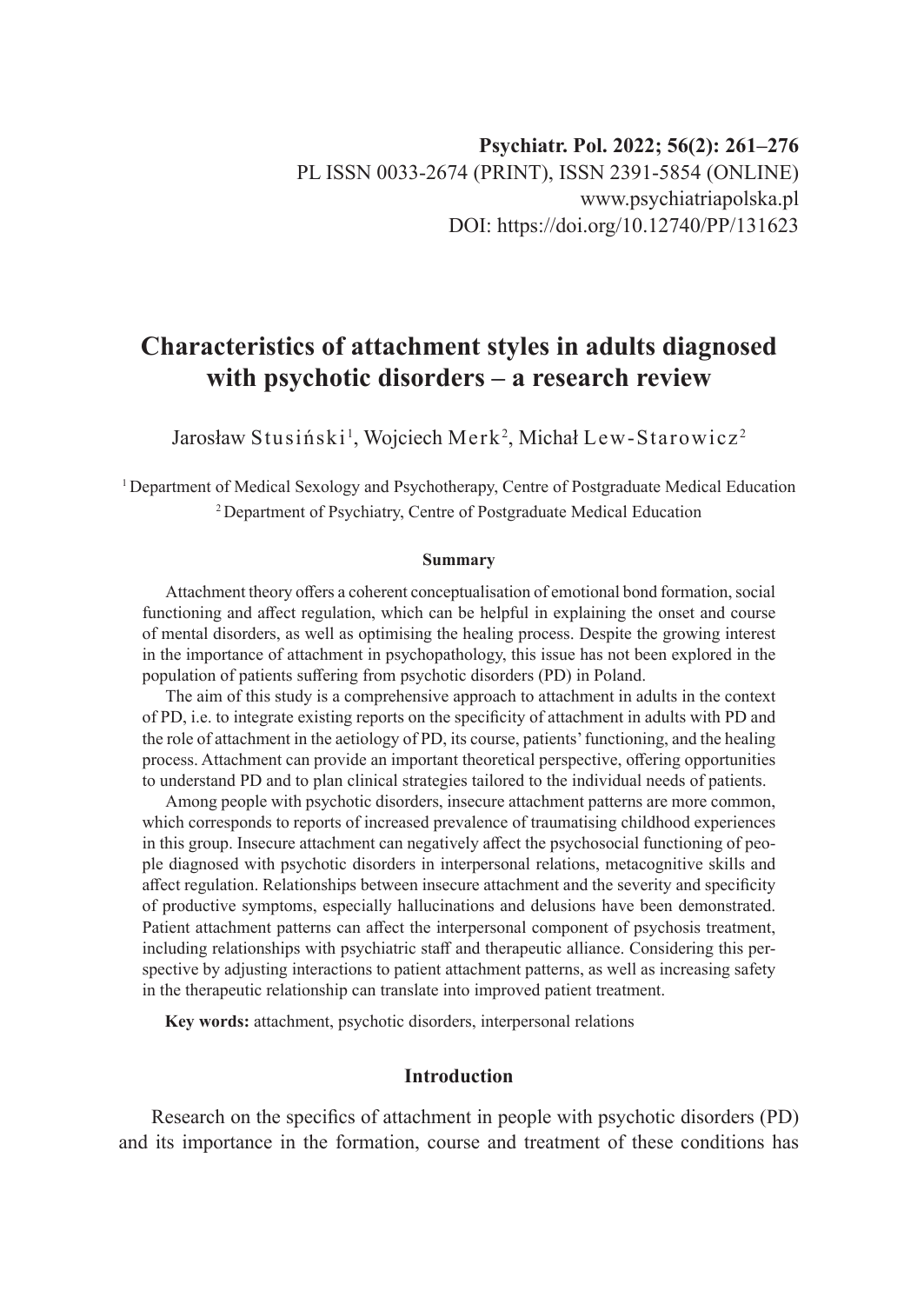# **Characteristics of attachment styles in adults diagnosed with psychotic disorders – a research review**

Jarosław Stusiński $^{\rm l}$ , Wojciech Merk $^{\rm 2}$ , Michał Lew-Starowicz $^{\rm 2}$ 

<sup>1</sup>Department of Medical Sexology and Psychotherapy, Centre of Postgraduate Medical Education <sup>2</sup>Department of Psychiatry, Centre of Postgraduate Medical Education

#### **Summary**

Attachment theory offers a coherent conceptualisation of emotional bond formation, social functioning and affect regulation, which can be helpful in explaining the onset and course of mental disorders, as well as optimising the healing process. Despite the growing interest in the importance of attachment in psychopathology, this issue has not been explored in the population of patients suffering from psychotic disorders (PD) in Poland.

The aim of this study is a comprehensive approach to attachment in adults in the context of PD, i.e. to integrate existing reports on the specificity of attachment in adults with PD and the role of attachment in the aetiology of PD, its course, patients' functioning, and the healing process. Attachment can provide an important theoretical perspective, offering opportunities to understand PD and to plan clinical strategies tailored to the individual needs of patients.

Among people with psychotic disorders, insecure attachment patterns are more common, which corresponds to reports of increased prevalence of traumatising childhood experiences in this group. Insecure attachment can negatively affect the psychosocial functioning of people diagnosed with psychotic disorders in interpersonal relations, metacognitive skills and affect regulation. Relationships between insecure attachment and the severity and specificity of productive symptoms, especially hallucinations and delusions have been demonstrated. Patient attachment patterns can affect the interpersonal component of psychosis treatment, including relationships with psychiatric staff and therapeutic alliance. Considering this perspective by adjusting interactions to patient attachment patterns, as well as increasing safety in the therapeutic relationship can translate into improved patient treatment.

**Key words:** attachment, psychotic disorders, interpersonal relations

# **Introduction**

Research on the specifics of attachment in people with psychotic disorders (PD) and its importance in the formation, course and treatment of these conditions has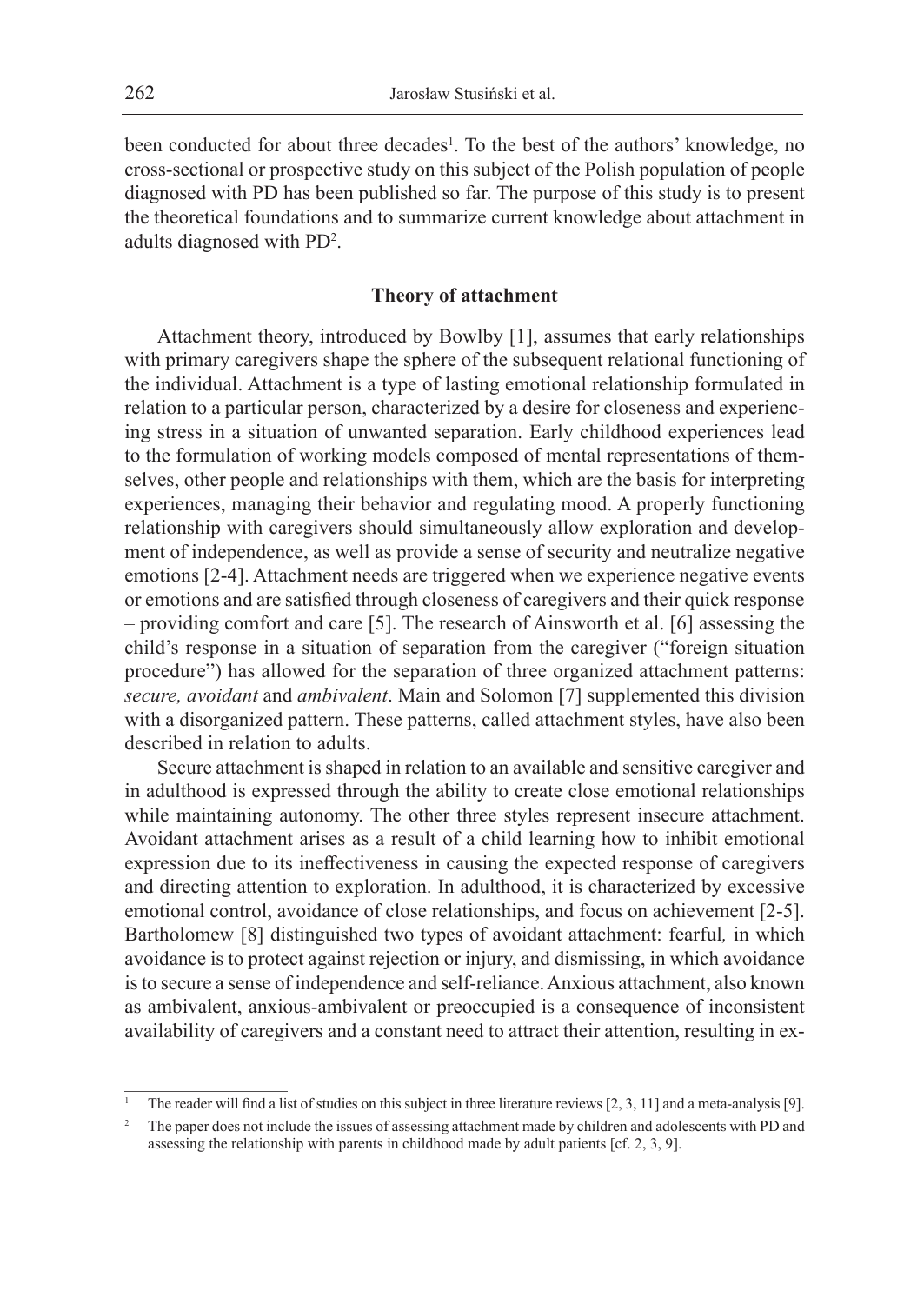been conducted for about three decades<sup>1</sup>. To the best of the authors' knowledge, no cross-sectional or prospective study on this subject of the Polish population of people diagnosed with PD has been published so far. The purpose of this study is to present the theoretical foundations and to summarize current knowledge about attachment in adults diagnosed with PD<sup>2</sup> .

#### **Theory of attachment**

Attachment theory, introduced by Bowlby [1], assumes that early relationships with primary caregivers shape the sphere of the subsequent relational functioning of the individual. Attachment is a type of lasting emotional relationship formulated in relation to a particular person, characterized by a desire for closeness and experiencing stress in a situation of unwanted separation. Early childhood experiences lead to the formulation of working models composed of mental representations of themselves, other people and relationships with them, which are the basis for interpreting experiences, managing their behavior and regulating mood. A properly functioning relationship with caregivers should simultaneously allow exploration and development of independence, as well as provide a sense of security and neutralize negative emotions [2-4]. Attachment needs are triggered when we experience negative events or emotions and are satisfied through closeness of caregivers and their quick response – providing comfort and care [5]. The research of Ainsworth et al. [6] assessing the child's response in a situation of separation from the caregiver ("foreign situation procedure") has allowed for the separation of three organized attachment patterns: *secure, avoidant* and *ambivalent*. Main and Solomon [7] supplemented this division with a disorganized pattern. These patterns, called attachment styles, have also been described in relation to adults.

Secure attachment is shaped in relation to an available and sensitive caregiver and in adulthood is expressed through the ability to create close emotional relationships while maintaining autonomy. The other three styles represent insecure attachment. Avoidant attachment arises as a result of a child learning how to inhibit emotional expression due to its ineffectiveness in causing the expected response of caregivers and directing attention to exploration. In adulthood, it is characterized by excessive emotional control, avoidance of close relationships, and focus on achievement [2-5]. Bartholomew [8] distinguished two types of avoidant attachment: fearful*,* in which avoidance is to protect against rejection or injury, and dismissing, in which avoidance is to secure a sense of independence and self-reliance. Anxious attachment, also known as ambivalent, anxious-ambivalent or preoccupied is a consequence of inconsistent availability of caregivers and a constant need to attract their attention, resulting in ex-

<sup>1</sup> The reader will find a list of studies on this subject in three literature reviews [2, 3, 11] and a meta-analysis [9].

<sup>2</sup> The paper does not include the issues of assessing attachment made by children and adolescents with PD and assessing the relationship with parents in childhood made by adult patients [cf. 2, 3, 9].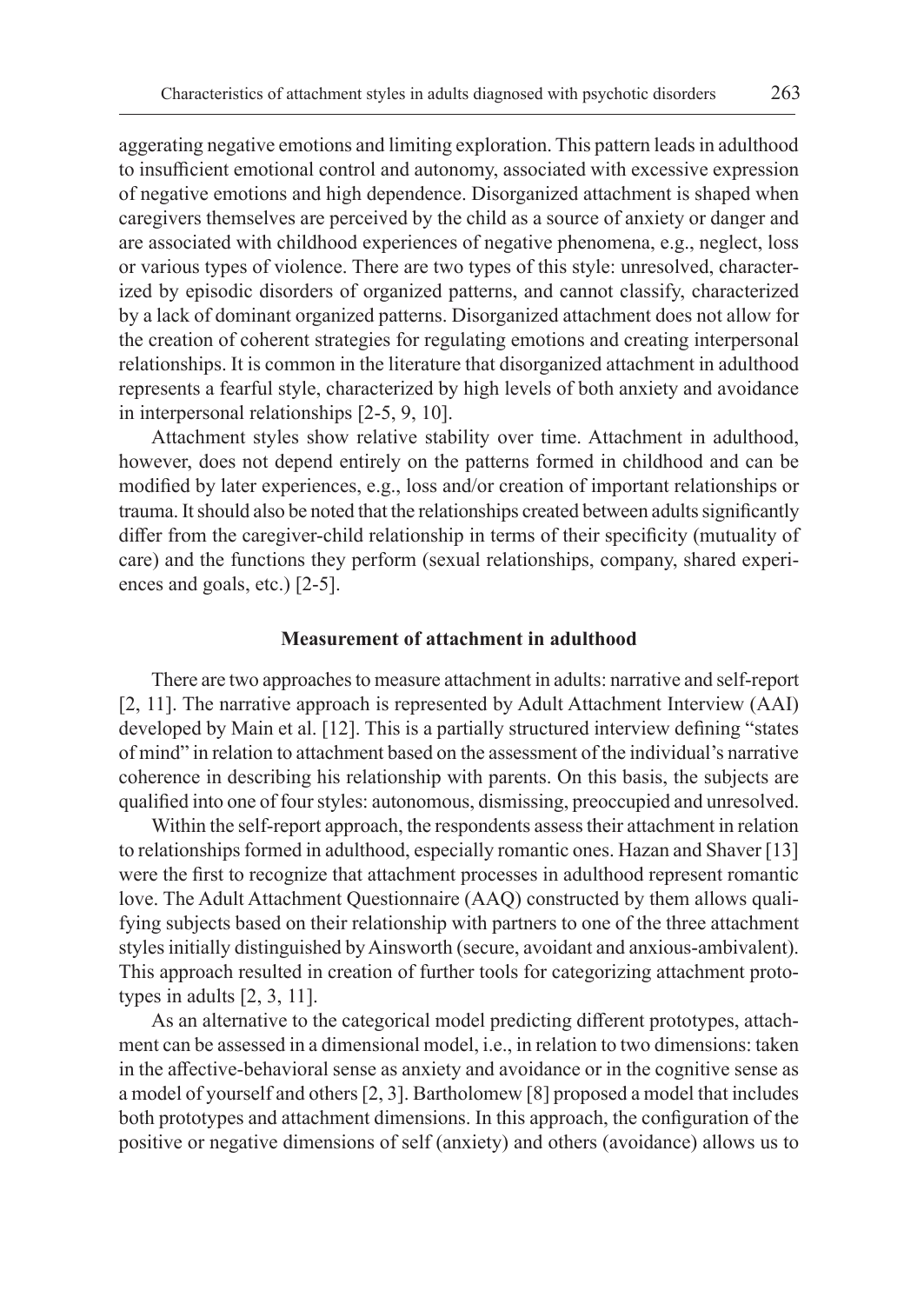aggerating negative emotions and limiting exploration. This pattern leads in adulthood to insufficient emotional control and autonomy, associated with excessive expression of negative emotions and high dependence. Disorganized attachment is shaped when caregivers themselves are perceived by the child as a source of anxiety or danger and are associated with childhood experiences of negative phenomena, e.g., neglect, loss or various types of violence. There are two types of this style: unresolved, characterized by episodic disorders of organized patterns, and cannot classify, characterized by a lack of dominant organized patterns. Disorganized attachment does not allow for the creation of coherent strategies for regulating emotions and creating interpersonal relationships. It is common in the literature that disorganized attachment in adulthood represents a fearful style, characterized by high levels of both anxiety and avoidance in interpersonal relationships [2-5, 9, 10].

Attachment styles show relative stability over time. Attachment in adulthood, however, does not depend entirely on the patterns formed in childhood and can be modified by later experiences, e.g., loss and/or creation of important relationships or trauma. Itshould also be noted that the relationships created between adults significantly differ from the caregiver-child relationship in terms of their specificity (mutuality of care) and the functions they perform (sexual relationships, company, shared experiences and goals, etc.) [2-5].

#### **Measurement of attachment in adulthood**

There are two approaches to measure attachment in adults: narrative and self-report [2, 11]. The narrative approach is represented by Adult Attachment Interview (AAI) developed by Main et al. [12]. This is a partially structured interview defining "states of mind" in relation to attachment based on the assessment of the individual's narrative coherence in describing his relationship with parents. On this basis, the subjects are qualified into one of four styles: autonomous, dismissing, preoccupied and unresolved.

Within the self-report approach, the respondents assess their attachment in relation to relationships formed in adulthood, especially romantic ones. Hazan and Shaver [13] were the first to recognize that attachment processes in adulthood represent romantic love. The Adult Attachment Questionnaire (AAQ) constructed by them allows qualifying subjects based on their relationship with partners to one of the three attachment styles initially distinguished by Ainsworth (secure, avoidant and anxious-ambivalent). This approach resulted in creation of further tools for categorizing attachment prototypes in adults [2, 3, 11].

As an alternative to the categorical model predicting different prototypes, attachment can be assessed in a dimensional model, i.e., in relation to two dimensions: taken in the affective-behavioral sense as anxiety and avoidance or in the cognitive sense as a model of yourself and others [2, 3]. Bartholomew [8] proposed a model that includes both prototypes and attachment dimensions. In this approach, the configuration of the positive or negative dimensions of self (anxiety) and others (avoidance) allows us to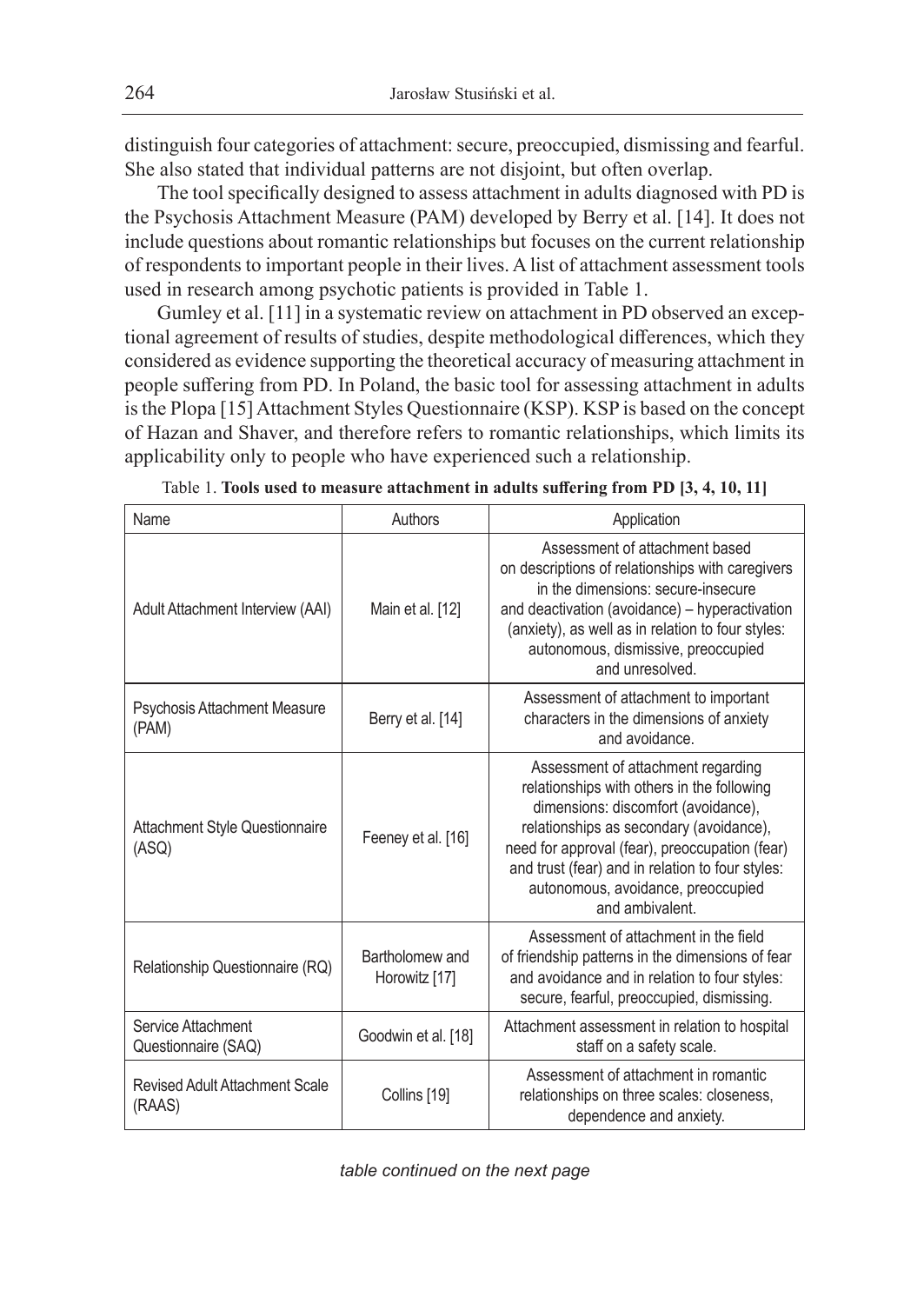distinguish four categories of attachment: secure, preoccupied, dismissing and fearful. She also stated that individual patterns are not disjoint, but often overlap.

The tool specifically designed to assess attachment in adults diagnosed with PD is the Psychosis Attachment Measure (PAM) developed by Berry et al. [14]. It does not include questions about romantic relationships but focuses on the current relationship of respondents to important people in their lives. A list of attachment assessment tools used in research among psychotic patients is provided in Table 1.

Gumley et al. [11] in a systematic review on attachment in PD observed an exceptional agreement of results of studies, despite methodological differences, which they considered as evidence supporting the theoretical accuracy of measuring attachment in people suffering from PD. In Poland, the basic tool for assessing attachment in adults is the Plopa [15] Attachment Styles Questionnaire (KSP). KSP is based on the concept of Hazan and Shaver, and therefore refers to romantic relationships, which limits its applicability only to people who have experienced such a relationship.

| Name                                            | Authors                          | Application                                                                                                                                                                                                                                                                                                                       |  |
|-------------------------------------------------|----------------------------------|-----------------------------------------------------------------------------------------------------------------------------------------------------------------------------------------------------------------------------------------------------------------------------------------------------------------------------------|--|
| Adult Attachment Interview (AAI)                | Main et al. [12]                 | Assessment of attachment based<br>on descriptions of relationships with caregivers<br>in the dimensions: secure-insecure<br>and deactivation (avoidance) - hyperactivation<br>(anxiety), as well as in relation to four styles:<br>autonomous, dismissive, preoccupied<br>and unresolved.                                         |  |
| <b>Psychosis Attachment Measure</b><br>(PAM)    | Berry et al. [14]                | Assessment of attachment to important<br>characters in the dimensions of anxiety<br>and avoidance.                                                                                                                                                                                                                                |  |
| <b>Attachment Style Questionnaire</b><br>(ASQ)  | Feeney et al. [16]               | Assessment of attachment regarding<br>relationships with others in the following<br>dimensions: discomfort (avoidance),<br>relationships as secondary (avoidance),<br>need for approval (fear), preoccupation (fear)<br>and trust (fear) and in relation to four styles:<br>autonomous, avoidance, preoccupied<br>and ambivalent. |  |
| Relationship Questionnaire (RQ)                 | Bartholomew and<br>Horowitz [17] | Assessment of attachment in the field<br>of friendship patterns in the dimensions of fear<br>and avoidance and in relation to four styles:<br>secure, fearful, preoccupied, dismissing.                                                                                                                                           |  |
| Service Attachment<br>Questionnaire (SAQ)       | Goodwin et al. [18]              | Attachment assessment in relation to hospital<br>staff on a safety scale.                                                                                                                                                                                                                                                         |  |
| <b>Revised Adult Attachment Scale</b><br>(RAAS) | Collins [19]                     | Assessment of attachment in romantic<br>relationships on three scales: closeness,<br>dependence and anxiety.                                                                                                                                                                                                                      |  |

|  | Table 1. Tools used to measure attachment in adults suffering from PD [3, 4, 10, 11] |  |  |  |  |  |  |
|--|--------------------------------------------------------------------------------------|--|--|--|--|--|--|
|--|--------------------------------------------------------------------------------------|--|--|--|--|--|--|

*table continued on the next page*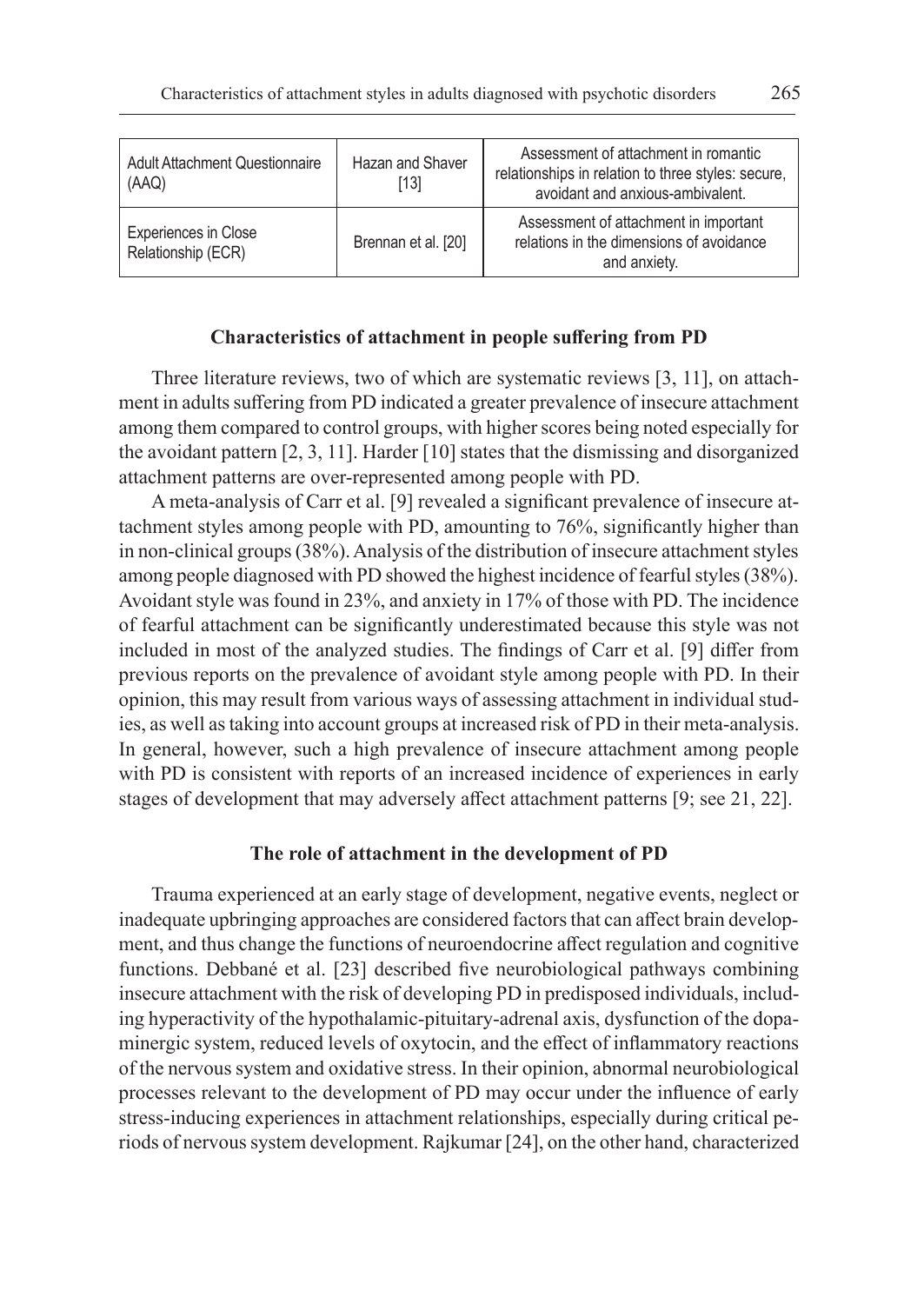| <b>Adult Attachment Questionnaire</b><br>(AAQ)    | Hazan and Shaver<br>[13] | Assessment of attachment in romantic<br>relationships in relation to three styles: secure,<br>avoidant and anxious-ambivalent. |
|---------------------------------------------------|--------------------------|--------------------------------------------------------------------------------------------------------------------------------|
| <b>Experiences in Close</b><br>Relationship (ECR) | Brennan et al. [20]      | Assessment of attachment in important<br>relations in the dimensions of avoidance<br>and anxiety.                              |

# **Characteristics of attachment in people suffering from PD**

Three literature reviews, two of which are systematic reviews [3, 11], on attachment in adults suffering from PD indicated a greater prevalence of insecure attachment among them compared to control groups, with higher scores being noted especially for the avoidant pattern [2, 3, 11]. Harder [10] states that the dismissing and disorganized attachment patterns are over-represented among people with PD.

A meta-analysis of Carr et al. [9] revealed a significant prevalence of insecure attachment styles among people with PD, amounting to 76%, significantly higher than in non-clinical groups (38%). Analysis of the distribution of insecure attachment styles among people diagnosed with PD showed the highest incidence of fearful styles (38%). Avoidant style was found in 23%, and anxiety in 17% of those with PD. The incidence of fearful attachment can be significantly underestimated because this style was not included in most of the analyzed studies. The findings of Carr et al. [9] differ from previous reports on the prevalence of avoidant style among people with PD. In their opinion, this may result from various ways of assessing attachment in individual studies, as well as taking into account groups at increased risk of PD in their meta-analysis. In general, however, such a high prevalence of insecure attachment among people with PD is consistent with reports of an increased incidence of experiences in early stages of development that may adversely affect attachment patterns [9; see 21, 22].

#### **The role of attachment in the development of PD**

Trauma experienced at an early stage of development, negative events, neglect or inadequate upbringing approaches are considered factors that can affect brain development, and thus change the functions of neuroendocrine affect regulation and cognitive functions. Debbané et al. [23] described five neurobiological pathways combining insecure attachment with the risk of developing PD in predisposed individuals, including hyperactivity of the hypothalamic-pituitary-adrenal axis, dysfunction of the dopaminergic system, reduced levels of oxytocin, and the effect of inflammatory reactions of the nervous system and oxidative stress. In their opinion, abnormal neurobiological processes relevant to the development of PD may occur under the influence of early stress-inducing experiences in attachment relationships, especially during critical periods of nervous system development. Rajkumar [24], on the other hand, characterized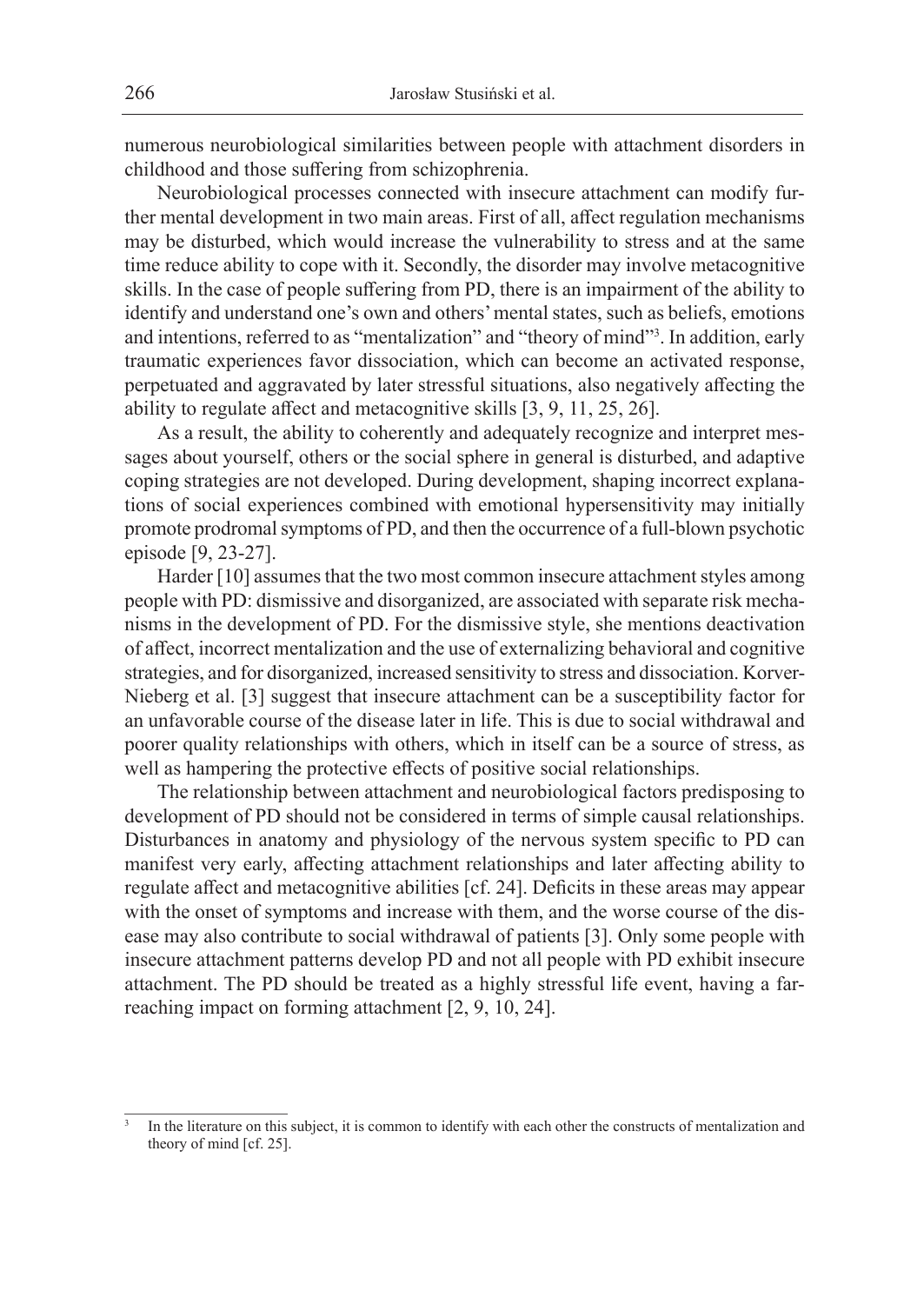numerous neurobiological similarities between people with attachment disorders in childhood and those suffering from schizophrenia.

Neurobiological processes connected with insecure attachment can modify further mental development in two main areas. First of all, affect regulation mechanisms may be disturbed, which would increase the vulnerability to stress and at the same time reduce ability to cope with it. Secondly, the disorder may involve metacognitive skills. In the case of people suffering from PD, there is an impairment of the ability to identify and understand one's own and others' mental states, such as beliefs, emotions and intentions, referred to as "mentalization" and "theory of mind"<sup>3</sup> . In addition, early traumatic experiences favor dissociation, which can become an activated response, perpetuated and aggravated by later stressful situations, also negatively affecting the ability to regulate affect and metacognitive skills [3, 9, 11, 25, 26].

As a result, the ability to coherently and adequately recognize and interpret messages about yourself, others or the social sphere in general is disturbed, and adaptive coping strategies are not developed. During development, shaping incorrect explanations of social experiences combined with emotional hypersensitivity may initially promote prodromal symptoms of PD, and then the occurrence of a full-blown psychotic episode [9, 23-27].

Harder [10] assumes that the two most common insecure attachment styles among people with PD: dismissive and disorganized, are associated with separate risk mechanisms in the development of PD. For the dismissive style, she mentions deactivation of affect, incorrect mentalization and the use of externalizing behavioral and cognitive strategies, and for disorganized, increased sensitivity to stress and dissociation. Korver-Nieberg et al. [3] suggest that insecure attachment can be a susceptibility factor for an unfavorable course of the disease later in life. This is due to social withdrawal and poorer quality relationships with others, which in itself can be a source of stress, as well as hampering the protective effects of positive social relationships.

The relationship between attachment and neurobiological factors predisposing to development of PD should not be considered in terms of simple causal relationships. Disturbances in anatomy and physiology of the nervous system specific to PD can manifest very early, affecting attachment relationships and later affecting ability to regulate affect and metacognitive abilities [cf. 24]. Deficits in these areas may appear with the onset of symptoms and increase with them, and the worse course of the disease may also contribute to social withdrawal of patients [3]. Only some people with insecure attachment patterns develop PD and not all people with PD exhibit insecure attachment. The PD should be treated as a highly stressful life event, having a farreaching impact on forming attachment [2, 9, 10, 24].

In the literature on this subject, it is common to identify with each other the constructs of mentalization and theory of mind [cf. 25].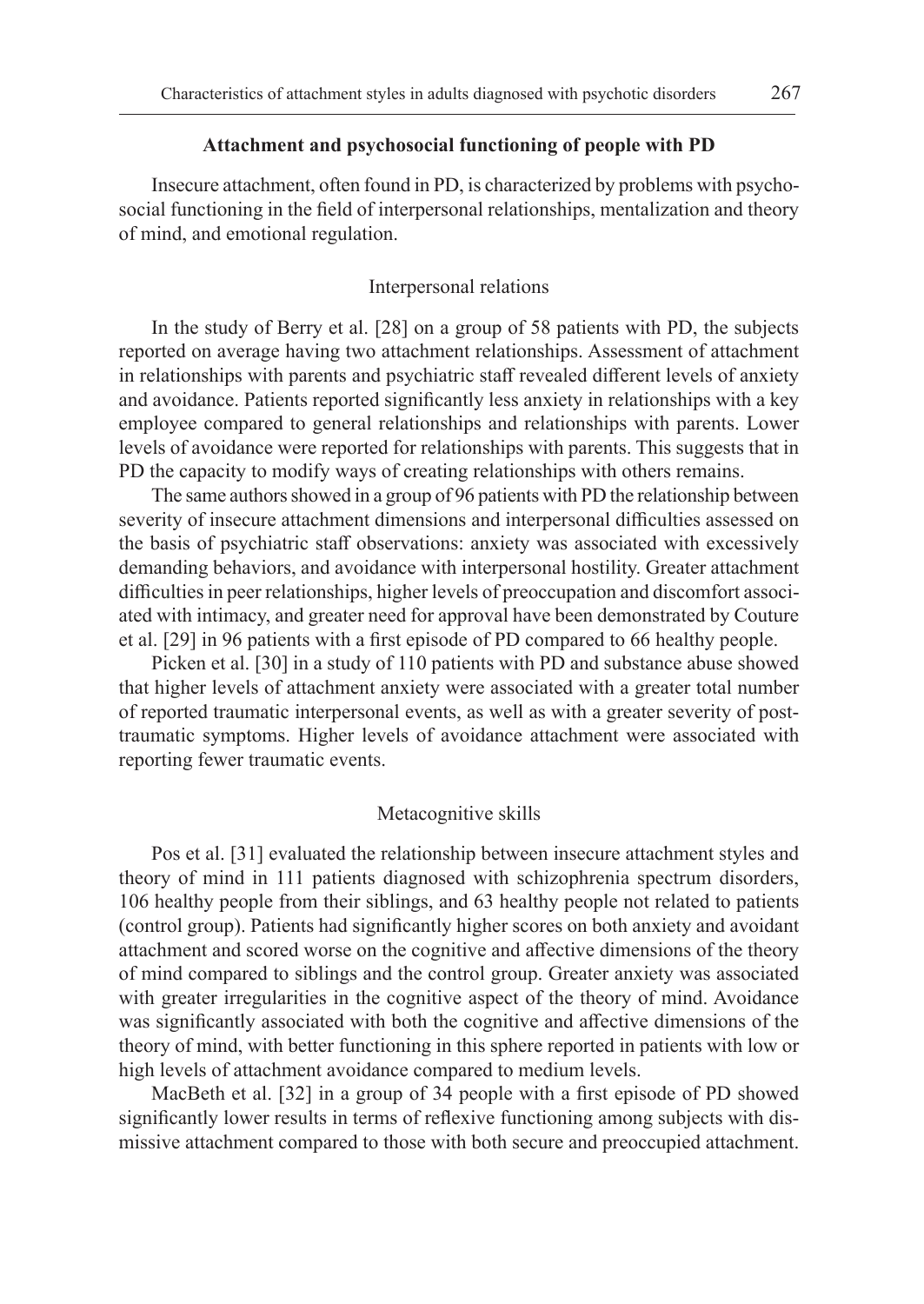#### **Attachment and psychosocial functioning of people with PD**

Insecure attachment, often found in PD, is characterized by problems with psychosocial functioning in the field of interpersonal relationships, mentalization and theory of mind, and emotional regulation.

### Interpersonal relations

In the study of Berry et al. [28] on a group of 58 patients with PD, the subjects reported on average having two attachment relationships. Assessment of attachment in relationships with parents and psychiatric staff revealed different levels of anxiety and avoidance. Patients reported significantly less anxiety in relationships with a key employee compared to general relationships and relationships with parents. Lower levels of avoidance were reported for relationships with parents. This suggests that in PD the capacity to modify ways of creating relationships with others remains.

The same authors showed in a group of 96 patients with PD the relationship between severity of insecure attachment dimensions and interpersonal difficulties assessed on the basis of psychiatric staff observations: anxiety was associated with excessively demanding behaviors, and avoidance with interpersonal hostility. Greater attachment difficulties in peer relationships, higher levels of preoccupation and discomfort associated with intimacy, and greater need for approval have been demonstrated by Couture et al. [29] in 96 patients with a first episode of PD compared to 66 healthy people.

Picken et al. [30] in a study of 110 patients with PD and substance abuse showed that higher levels of attachment anxiety were associated with a greater total number of reported traumatic interpersonal events, as well as with a greater severity of posttraumatic symptoms. Higher levels of avoidance attachment were associated with reporting fewer traumatic events.

#### Metacognitive skills

Pos et al. [31] evaluated the relationship between insecure attachment styles and theory of mind in 111 patients diagnosed with schizophrenia spectrum disorders, 106 healthy people from their siblings, and 63 healthy people not related to patients (control group). Patients had significantly higher scores on both anxiety and avoidant attachment and scored worse on the cognitive and affective dimensions of the theory of mind compared to siblings and the control group. Greater anxiety was associated with greater irregularities in the cognitive aspect of the theory of mind. Avoidance was significantly associated with both the cognitive and affective dimensions of the theory of mind, with better functioning in this sphere reported in patients with low or high levels of attachment avoidance compared to medium levels.

MacBeth et al. [32] in a group of 34 people with a first episode of PD showed significantly lower results in terms of reflexive functioning among subjects with dismissive attachment compared to those with both secure and preoccupied attachment.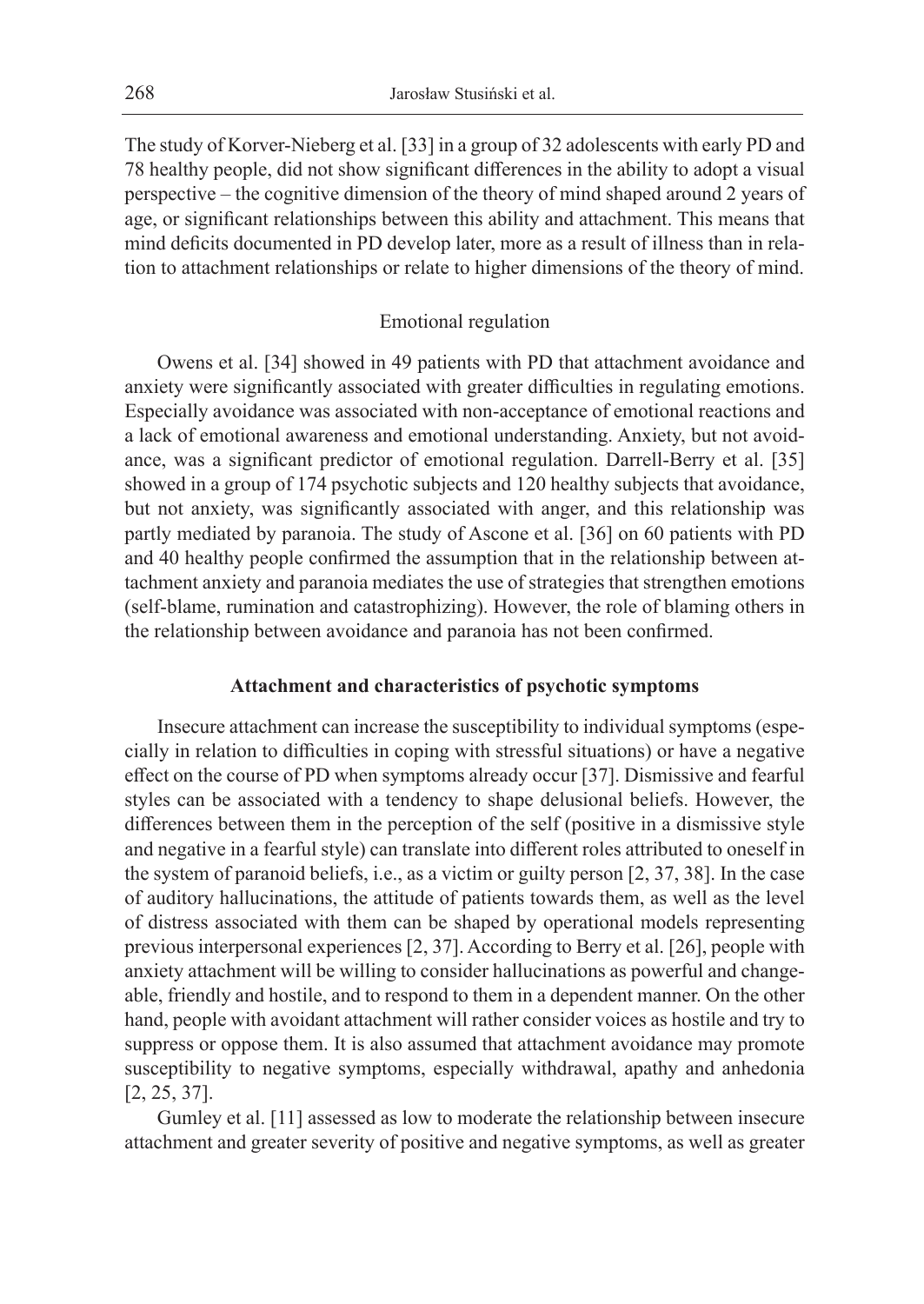The study of Korver-Nieberg et al. [33] in a group of 32 adolescents with early PD and 78 healthy people, did not show significant differences in the ability to adopt a visual perspective – the cognitive dimension of the theory of mind shaped around 2 years of age, or significant relationships between this ability and attachment. This means that mind deficits documented in PD develop later, more as a result of illness than in relation to attachment relationships or relate to higher dimensions of the theory of mind.

### Emotional regulation

Owens et al. [34] showed in 49 patients with PD that attachment avoidance and anxiety were significantly associated with greater difficulties in regulating emotions. Especially avoidance was associated with non-acceptance of emotional reactions and a lack of emotional awareness and emotional understanding. Anxiety, but not avoidance, was a significant predictor of emotional regulation. Darrell-Berry et al. [35] showed in a group of 174 psychotic subjects and 120 healthy subjects that avoidance, but not anxiety, was significantly associated with anger, and this relationship was partly mediated by paranoia. The study of Ascone et al. [36] on 60 patients with PD and 40 healthy people confirmed the assumption that in the relationship between attachment anxiety and paranoia mediates the use of strategies that strengthen emotions (self-blame, rumination and catastrophizing). However, the role of blaming others in the relationship between avoidance and paranoia has not been confirmed.

# **Attachment and characteristics of psychotic symptoms**

Insecure attachment can increase the susceptibility to individual symptoms (especially in relation to difficulties in coping with stressful situations) or have a negative effect on the course of PD when symptoms already occur [37]. Dismissive and fearful styles can be associated with a tendency to shape delusional beliefs. However, the differences between them in the perception of the self (positive in a dismissive style and negative in a fearful style) can translate into different roles attributed to oneself in the system of paranoid beliefs, i.e., as a victim or guilty person [2, 37, 38]. In the case of auditory hallucinations, the attitude of patients towards them, as well as the level of distress associated with them can be shaped by operational models representing previous interpersonal experiences [2, 37]. According to Berry et al. [26], people with anxiety attachment will be willing to consider hallucinations as powerful and changeable, friendly and hostile, and to respond to them in a dependent manner. On the other hand, people with avoidant attachment will rather consider voices as hostile and try to suppress or oppose them. It is also assumed that attachment avoidance may promote susceptibility to negative symptoms, especially withdrawal, apathy and anhedonia [2, 25, 37].

Gumley et al. [11] assessed as low to moderate the relationship between insecure attachment and greater severity of positive and negative symptoms, as well as greater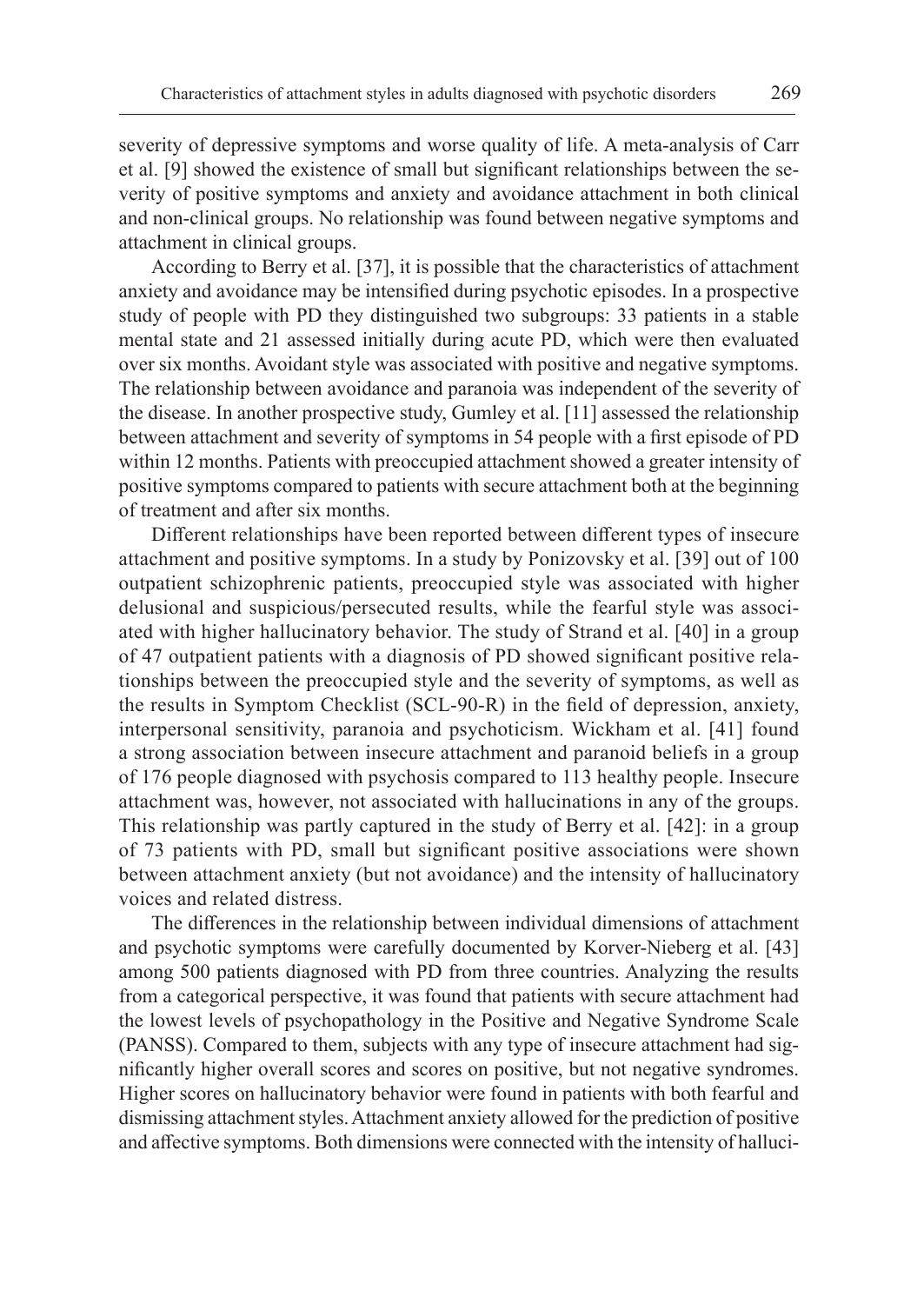severity of depressive symptoms and worse quality of life. A meta-analysis of Carr et al. [9] showed the existence of small but significant relationships between the severity of positive symptoms and anxiety and avoidance attachment in both clinical and non-clinical groups. No relationship was found between negative symptoms and attachment in clinical groups.

According to Berry et al. [37], it is possible that the characteristics of attachment anxiety and avoidance may be intensified during psychotic episodes. In a prospective study of people with PD they distinguished two subgroups: 33 patients in a stable mental state and 21 assessed initially during acute PD, which were then evaluated over six months. Avoidant style was associated with positive and negative symptoms. The relationship between avoidance and paranoia was independent of the severity of the disease. In another prospective study, Gumley et al. [11] assessed the relationship between attachment and severity of symptoms in 54 people with a first episode of PD within 12 months. Patients with preoccupied attachment showed a greater intensity of positive symptoms compared to patients with secure attachment both at the beginning of treatment and after six months.

Different relationships have been reported between different types of insecure attachment and positive symptoms. In a study by Ponizovsky et al. [39] out of 100 outpatient schizophrenic patients, preoccupied style was associated with higher delusional and suspicious/persecuted results, while the fearful style was associated with higher hallucinatory behavior. The study of Strand et al. [40] in a group of 47 outpatient patients with a diagnosis of PD showed significant positive relationships between the preoccupied style and the severity of symptoms, as well as the results in Symptom Checklist (SCL-90-R) in the field of depression, anxiety, interpersonal sensitivity, paranoia and psychoticism. Wickham et al. [41] found a strong association between insecure attachment and paranoid beliefs in a group of 176 people diagnosed with psychosis compared to 113 healthy people. Insecure attachment was, however, not associated with hallucinations in any of the groups. This relationship was partly captured in the study of Berry et al. [42]: in a group of 73 patients with PD, small but significant positive associations were shown between attachment anxiety (but not avoidance) and the intensity of hallucinatory voices and related distress.

The differences in the relationship between individual dimensions of attachment and psychotic symptoms were carefully documented by Korver-Nieberg et al. [43] among 500 patients diagnosed with PD from three countries. Analyzing the results from a categorical perspective, it was found that patients with secure attachment had the lowest levels of psychopathology in the Positive and Negative Syndrome Scale (PANSS). Compared to them, subjects with any type of insecure attachment had significantly higher overall scores and scores on positive, but not negative syndromes. Higher scores on hallucinatory behavior were found in patients with both fearful and dismissing attachment styles. Attachment anxiety allowed for the prediction of positive and affective symptoms. Both dimensions were connected with the intensity of halluci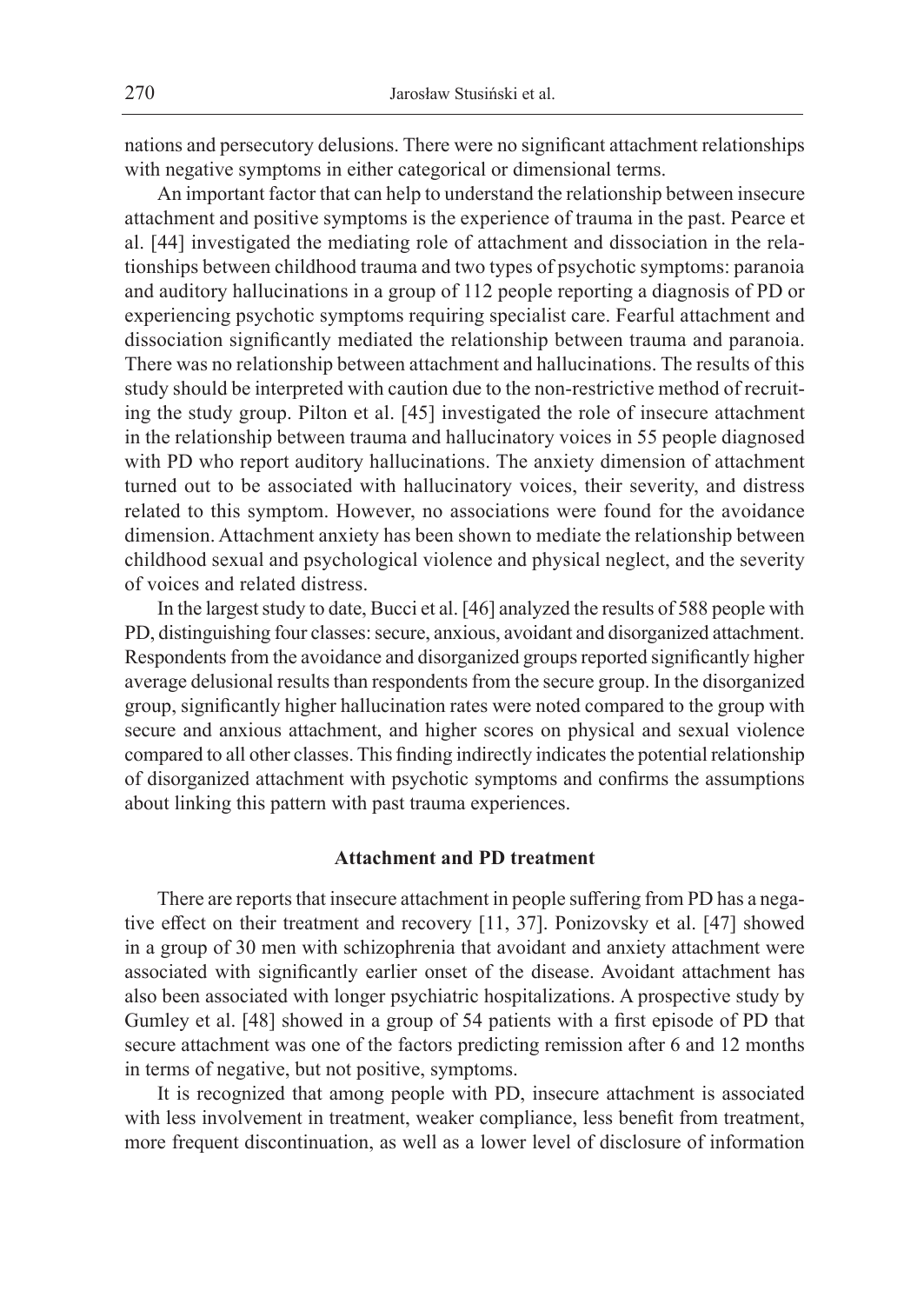nations and persecutory delusions. There were no significant attachment relationships with negative symptoms in either categorical or dimensional terms.

An important factor that can help to understand the relationship between insecure attachment and positive symptoms is the experience of trauma in the past. Pearce et al. [44] investigated the mediating role of attachment and dissociation in the relationships between childhood trauma and two types of psychotic symptoms: paranoia and auditory hallucinations in a group of 112 people reporting a diagnosis of PD or experiencing psychotic symptoms requiring specialist care. Fearful attachment and dissociation significantly mediated the relationship between trauma and paranoia. There was no relationship between attachment and hallucinations. The results of this study should be interpreted with caution due to the non-restrictive method of recruiting the study group. Pilton et al. [45] investigated the role of insecure attachment in the relationship between trauma and hallucinatory voices in 55 people diagnosed with PD who report auditory hallucinations. The anxiety dimension of attachment turned out to be associated with hallucinatory voices, their severity, and distress related to this symptom. However, no associations were found for the avoidance dimension. Attachment anxiety has been shown to mediate the relationship between childhood sexual and psychological violence and physical neglect, and the severity of voices and related distress.

In the largest study to date, Bucci et al. [46] analyzed the results of 588 people with PD, distinguishing four classes: secure, anxious, avoidant and disorganized attachment. Respondents from the avoidance and disorganized groups reported significantly higher average delusional results than respondents from the secure group. In the disorganized group, significantly higher hallucination rates were noted compared to the group with secure and anxious attachment, and higher scores on physical and sexual violence compared to all other classes. This finding indirectly indicates the potential relationship of disorganized attachment with psychotic symptoms and confirms the assumptions about linking this pattern with past trauma experiences.

# **Attachment and PD treatment**

There are reports that insecure attachment in people suffering from PD has a negative effect on their treatment and recovery [11, 37]. Ponizovsky et al. [47] showed in a group of 30 men with schizophrenia that avoidant and anxiety attachment were associated with significantly earlier onset of the disease. Avoidant attachment has also been associated with longer psychiatric hospitalizations. A prospective study by Gumley et al. [48] showed in a group of 54 patients with a first episode of PD that secure attachment was one of the factors predicting remission after 6 and 12 months in terms of negative, but not positive, symptoms.

It is recognized that among people with PD, insecure attachment is associated with less involvement in treatment, weaker compliance, less benefit from treatment, more frequent discontinuation, as well as a lower level of disclosure of information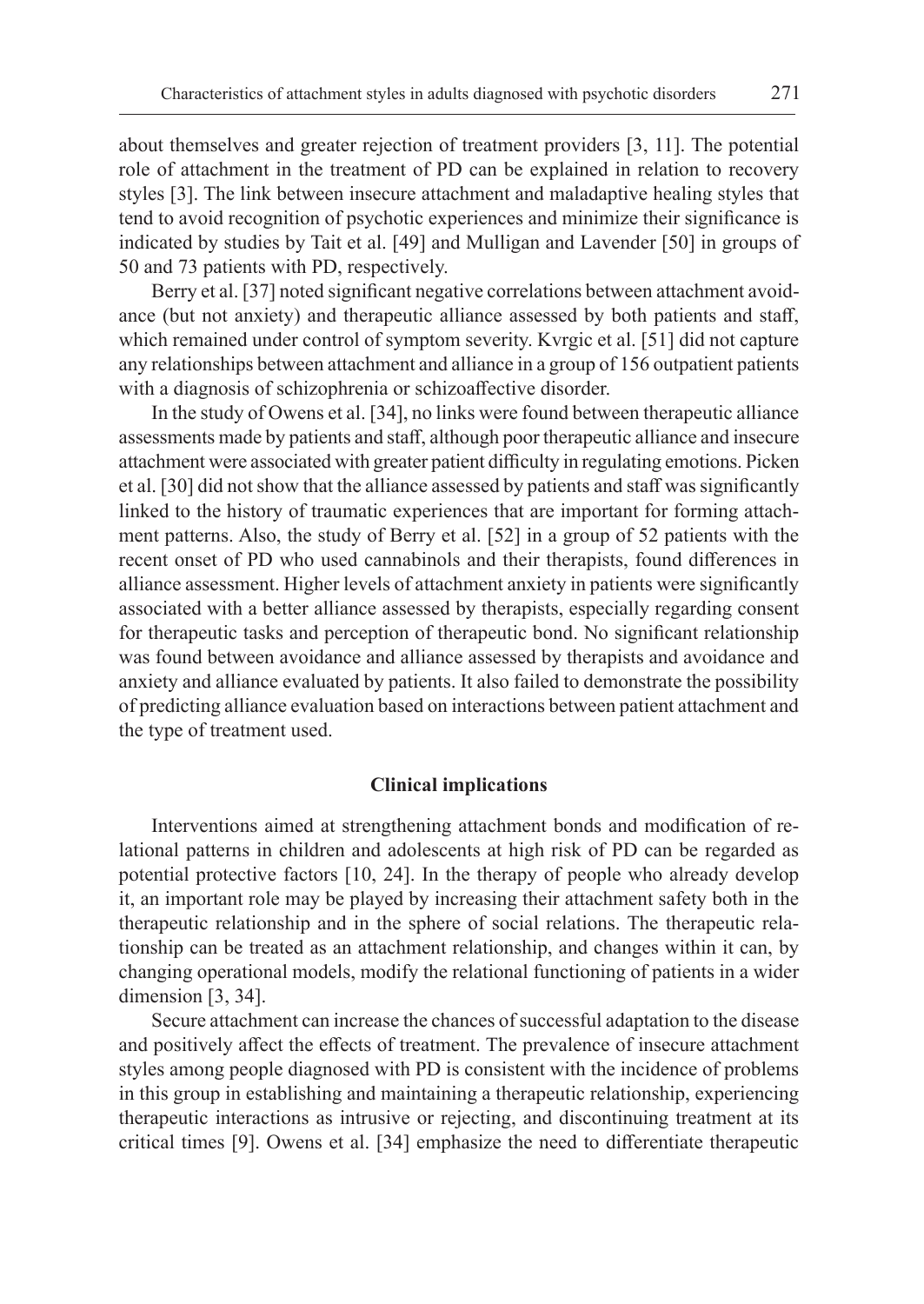about themselves and greater rejection of treatment providers [3, 11]. The potential role of attachment in the treatment of PD can be explained in relation to recovery styles [3]. The link between insecure attachment and maladaptive healing styles that tend to avoid recognition of psychotic experiences and minimize their significance is indicated by studies by Tait et al. [49] and Mulligan and Lavender [50] in groups of 50 and 73 patients with PD, respectively.

Berry et al. [37] noted significant negative correlations between attachment avoidance (but not anxiety) and therapeutic alliance assessed by both patients and staff, which remained under control of symptom severity. Kvrgic et al. [51] did not capture any relationships between attachment and alliance in a group of 156 outpatient patients with a diagnosis of schizophrenia or schizoaffective disorder.

In the study of Owens et al. [34], no links were found between therapeutic alliance assessments made by patients and staff, although poor therapeutic alliance and insecure attachment were associated with greater patient difficulty in regulating emotions. Picken et al. [30] did not show that the alliance assessed by patients and staff was significantly linked to the history of traumatic experiences that are important for forming attachment patterns. Also, the study of Berry et al. [52] in a group of 52 patients with the recent onset of PD who used cannabinols and their therapists, found differences in alliance assessment. Higher levels of attachment anxiety in patients were significantly associated with a better alliance assessed by therapists, especially regarding consent for therapeutic tasks and perception of therapeutic bond. No significant relationship was found between avoidance and alliance assessed by therapists and avoidance and anxiety and alliance evaluated by patients. It also failed to demonstrate the possibility of predicting alliance evaluation based on interactions between patient attachment and the type of treatment used.

#### **Clinical implications**

Interventions aimed at strengthening attachment bonds and modification of relational patterns in children and adolescents at high risk of PD can be regarded as potential protective factors [10, 24]. In the therapy of people who already develop it, an important role may be played by increasing their attachment safety both in the therapeutic relationship and in the sphere of social relations. The therapeutic relationship can be treated as an attachment relationship, and changes within it can, by changing operational models, modify the relational functioning of patients in a wider dimension [3, 34].

Secure attachment can increase the chances of successful adaptation to the disease and positively affect the effects of treatment. The prevalence of insecure attachment styles among people diagnosed with PD is consistent with the incidence of problems in this group in establishing and maintaining a therapeutic relationship, experiencing therapeutic interactions as intrusive or rejecting, and discontinuing treatment at its critical times [9]. Owens et al. [34] emphasize the need to differentiate therapeutic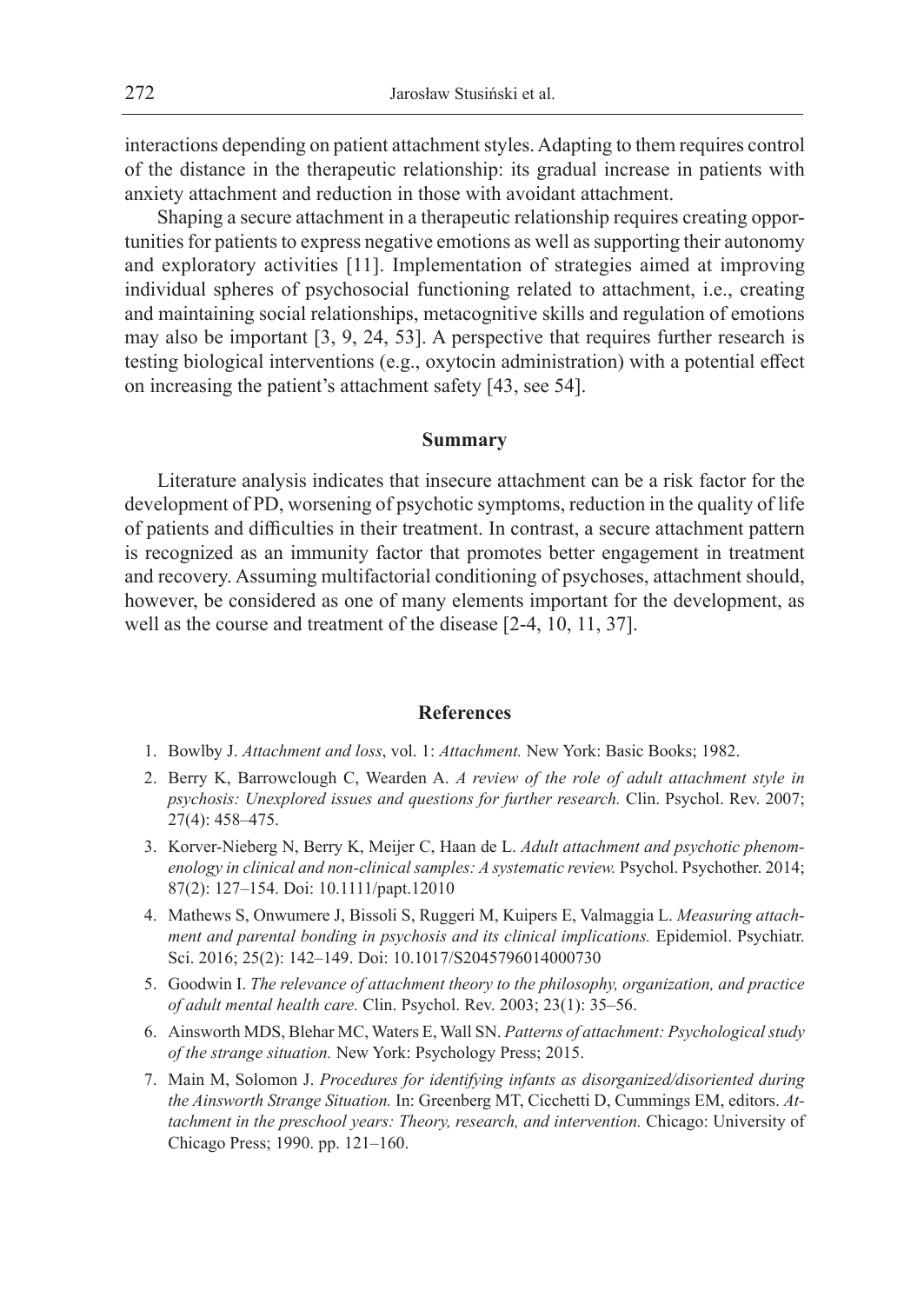interactions depending on patient attachment styles. Adapting to them requires control of the distance in the therapeutic relationship: its gradual increase in patients with anxiety attachment and reduction in those with avoidant attachment.

Shaping a secure attachment in a therapeutic relationship requires creating opportunities for patients to express negative emotions as well as supporting their autonomy and exploratory activities [11]. Implementation of strategies aimed at improving individual spheres of psychosocial functioning related to attachment, i.e., creating and maintaining social relationships, metacognitive skills and regulation of emotions may also be important [3, 9, 24, 53]. A perspective that requires further research is testing biological interventions (e.g., oxytocin administration) with a potential effect on increasing the patient's attachment safety [43, see 54].

## **Summary**

Literature analysis indicates that insecure attachment can be a risk factor for the development of PD, worsening of psychotic symptoms, reduction in the quality of life of patients and difficulties in their treatment. In contrast, a secure attachment pattern is recognized as an immunity factor that promotes better engagement in treatment and recovery. Assuming multifactorial conditioning of psychoses, attachment should, however, be considered as one of many elements important for the development, as well as the course and treatment of the disease [2-4, 10, 11, 37].

# **References**

- 1. Bowlby J. *Attachment and loss*, vol. 1: *Attachment.* New York: Basic Books; 1982.
- 2. Berry K, Barrowclough C, Wearden A. *A review of the role of adult attachment style in psychosis: Unexplored issues and questions for further research.* Clin. Psychol. Rev. 2007; 27(4): 458–475.
- 3. Korver-Nieberg N, Berry K, Meijer C, Haan de L. *Adult attachment and psychotic phenomenology in clinical and non-clinical samples: A systematic review.* Psychol. Psychother. 2014; 87(2): 127–154. Doi: 10.1111/papt.12010
- 4. Mathews S, Onwumere J, Bissoli S, Ruggeri M, Kuipers E, Valmaggia L. *Measuring attachment and parental bonding in psychosis and its clinical implications.* Epidemiol. Psychiatr. Sci. 2016; 25(2): 142–149. Doi: 10.1017/S2045796014000730
- 5. Goodwin I. *The relevance of attachment theory to the philosophy, organization, and practice of adult mental health care.* Clin. Psychol. Rev. 2003; 23(1): 35–56.
- 6. Ainsworth MDS, Blehar MC, Waters E, Wall SN. *Patterns of attachment: Psychological study of the strange situation.* New York: Psychology Press; 2015.
- 7. Main M, Solomon J. *Procedures for identifying infants as disorganized/disoriented during the Ainsworth Strange Situation.* In: Greenberg MT, Cicchetti D, Cummings EM, editors. *Attachment in the preschool years: Theory, research, and intervention.* Chicago: University of Chicago Press; 1990. pp. 121–160.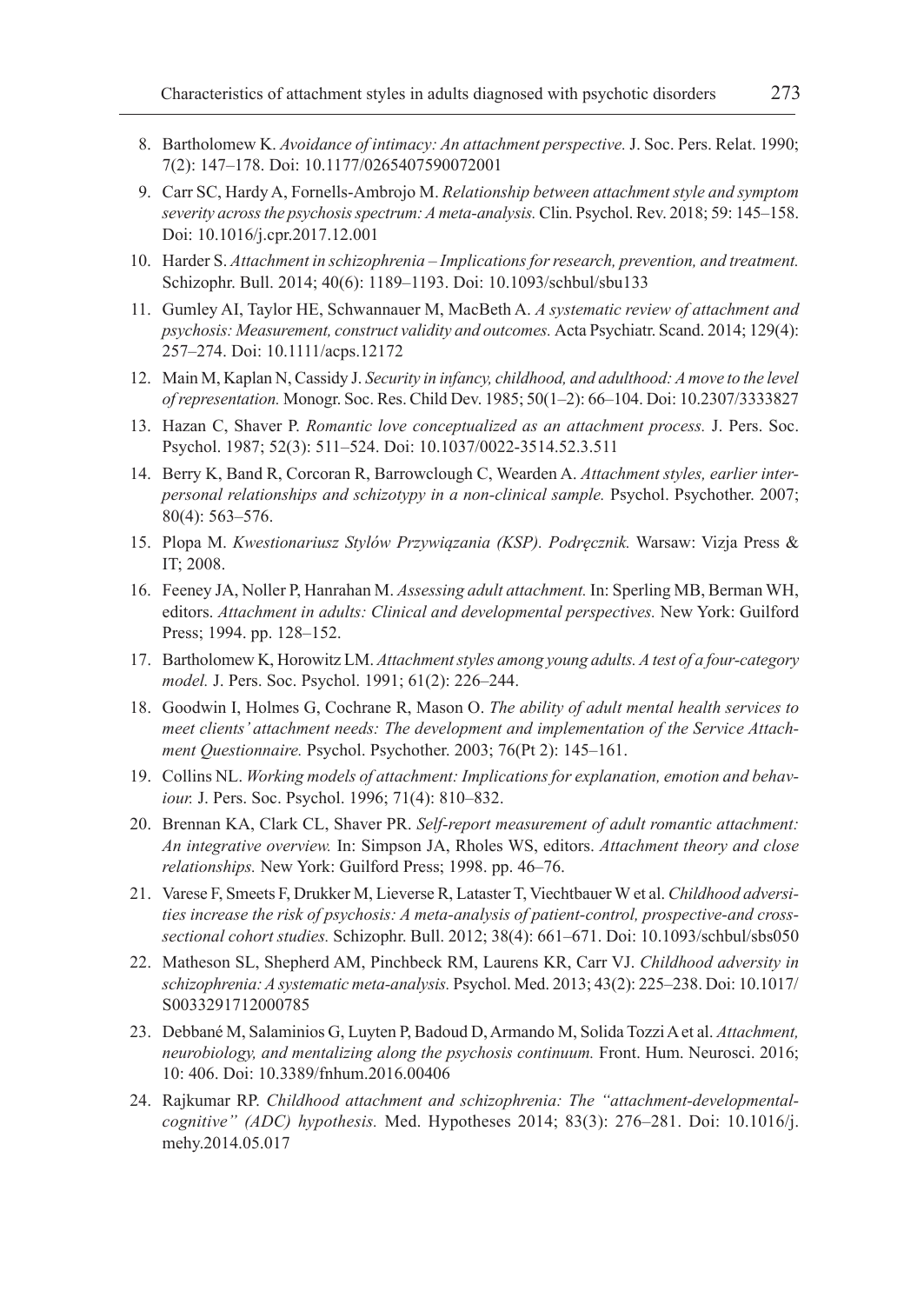- 8. Bartholomew K. *Avoidance of intimacy: An attachment perspective.* J. Soc. Pers. Relat. 1990; 7(2): 147–178. Doi: 10.1177/0265407590072001
- 9. Carr SC, Hardy A, Fornells-Ambrojo M. *Relationship between attachment style and symptom severity across the psychosis spectrum: A meta-analysis.* Clin. Psychol. Rev. 2018; 59: 145–158. Doi: 10.1016/j.cpr.2017.12.001
- 10. Harder S. *Attachment in schizophrenia Implications for research, prevention, and treatment.* Schizophr. Bull. 2014; 40(6): 1189–1193. Doi: 10.1093/schbul/sbu133
- 11. Gumley AI, Taylor HE, Schwannauer M, MacBeth A. *A systematic review of attachment and psychosis: Measurement, construct validity and outcomes.* Acta Psychiatr. Scand. 2014; 129(4): 257–274. Doi: 10.1111/acps.12172
- 12. Main M, Kaplan N, Cassidy J. *Security in infancy, childhood, and adulthood: A move to the level of representation.* Monogr. Soc. Res. Child Dev. 1985; 50(1–2): 66–104. Doi: 10.2307/3333827
- 13. Hazan C, Shaver P. *Romantic love conceptualized as an attachment process.* J. Pers. Soc. Psychol. 1987; 52(3): 511–524. Doi: 10.1037/0022-3514.52.3.511
- 14. Berry K, Band R, Corcoran R, Barrowclough C, Wearden A. *Attachment styles, earlier interpersonal relationships and schizotypy in a non-clinical sample.* Psychol. Psychother. 2007; 80(4): 563–576.
- 15. Plopa M. *Kwestionariusz Stylów Przywiązania (KSP). Podręcznik.* Warsaw: Vizja Press & IT; 2008.
- 16. Feeney JA, Noller P, Hanrahan M. *Assessing adult attachment.* In: Sperling MB, Berman WH, editors. *Attachment in adults: Clinical and developmental perspectives.* New York: Guilford Press; 1994. pp. 128–152.
- 17. Bartholomew K, Horowitz LM. *Attachment styles among young adults. A test of a four-category model.* J. Pers. Soc. Psychol. 1991; 61(2): 226–244.
- 18. Goodwin I, Holmes G, Cochrane R, Mason O. *The ability of adult mental health services to meet clients' attachment needs: The development and implementation of the Service Attachment Questionnaire.* Psychol. Psychother. 2003; 76(Pt 2): 145–161.
- 19. Collins NL. *Working models of attachment: Implications for explanation, emotion and behaviour.* J. Pers. Soc. Psychol. 1996; 71(4): 810–832.
- 20. Brennan KA, Clark CL, Shaver PR. *Self-report measurement of adult romantic attachment: An integrative overview.* In: Simpson JA, Rholes WS, editors. *Attachment theory and close relationships.* New York: Guilford Press; 1998. pp. 46–76.
- 21. Varese F, Smeets F, Drukker M, Lieverse R, Lataster T, Viechtbauer W et al. *Childhood adversities increase the risk of psychosis: A meta-analysis of patient-control, prospective-and crosssectional cohort studies.* Schizophr. Bull. 2012; 38(4): 661–671. Doi: 10.1093/schbul/sbs050
- 22. Matheson SL, Shepherd AM, Pinchbeck RM, Laurens KR, Carr VJ. *Childhood adversity in schizophrenia: A systematic meta-analysis.* Psychol. Med. 2013; 43(2): 225–238. Doi: 10.1017/ S0033291712000785
- 23. Debbané M, Salaminios G, Luyten P, Badoud D, Armando M, Solida Tozzi A et al. *Attachment, neurobiology, and mentalizing along the psychosis continuum.* Front. Hum. Neurosci. 2016; 10: 406. Doi: 10.3389/fnhum.2016.00406
- 24. Rajkumar RP. *Childhood attachment and schizophrenia: The "attachment-developmentalcognitive" (ADC) hypothesis.* Med. Hypotheses 2014; 83(3): 276–281. Doi: 10.1016/j. mehy.2014.05.017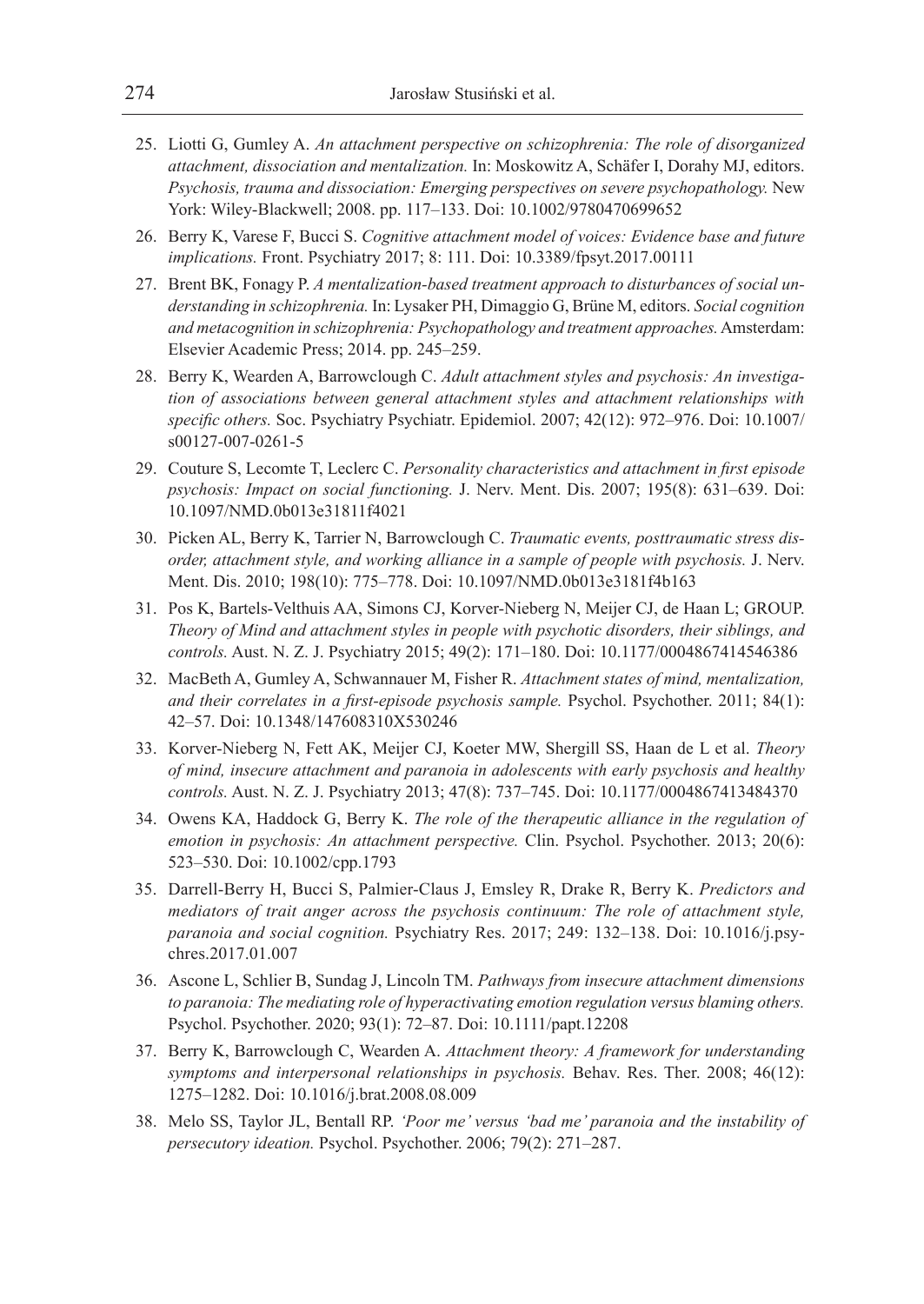- 25. Liotti G, Gumley A. *An attachment perspective on schizophrenia: The role of disorganized attachment, dissociation and mentalization.* In: Moskowitz A, Schäfer I, Dorahy MJ, editors. *Psychosis, trauma and dissociation: Emerging perspectives on severe psychopathology.* New York: Wiley-Blackwell; 2008. pp. 117–133. Doi: 10.1002/9780470699652
- 26. Berry K, Varese F, Bucci S. *Cognitive attachment model of voices: Evidence base and future implications.* Front. Psychiatry 2017; 8: 111. Doi: 10.3389/fpsyt.2017.00111
- 27. Brent BK, Fonagy P. *A mentalization-based treatment approach to disturbances of social understanding in schizophrenia.* In: Lysaker PH, Dimaggio G, Brüne M, editors. *Social cognition and metacognition in schizophrenia: Psychopathology and treatment approaches.* Amsterdam: Elsevier Academic Press; 2014. pp. 245–259.
- 28. Berry K, Wearden A, Barrowclough C. *Adult attachment styles and psychosis: An investigation of associations between general attachment styles and attachment relationships with specific others.* Soc. Psychiatry Psychiatr. Epidemiol. 2007; 42(12): 972–976. Doi: 10.1007/ s00127-007-0261-5
- 29. Couture S, Lecomte T, Leclerc C. *Personality characteristics and attachment in first episode psychosis: Impact on social functioning.* J. Nerv. Ment. Dis. 2007; 195(8): 631–639. Doi: 10.1097/NMD.0b013e31811f4021
- 30. Picken AL, Berry K, Tarrier N, Barrowclough C. *Traumatic events, posttraumatic stress disorder, attachment style, and working alliance in a sample of people with psychosis.* J. Nerv. Ment. Dis. 2010; 198(10): 775–778. Doi: 10.1097/NMD.0b013e3181f4b163
- 31. Pos K, Bartels-Velthuis AA, Simons CJ, Korver-Nieberg N, Meijer CJ, de Haan L; GROUP. *Theory of Mind and attachment styles in people with psychotic disorders, their siblings, and controls.* Aust. N. Z. J. Psychiatry 2015; 49(2): 171–180. Doi: 10.1177/0004867414546386
- 32. MacBeth A, Gumley A, Schwannauer M, Fisher R. *Attachment states of mind, mentalization, and their correlates in a first-episode psychosis sample.* Psychol. Psychother. 2011; 84(1): 42–57. Doi: 10.1348/147608310X530246
- 33. Korver-Nieberg N, Fett AK, Meijer CJ, Koeter MW, Shergill SS, Haan de L et al. *Theory of mind, insecure attachment and paranoia in adolescents with early psychosis and healthy controls.* Aust. N. Z. J. Psychiatry 2013; 47(8): 737–745. Doi: 10.1177/0004867413484370
- 34. Owens KA, Haddock G, Berry K. *The role of the therapeutic alliance in the regulation of emotion in psychosis: An attachment perspective.* Clin. Psychol. Psychother. 2013; 20(6): 523–530. Doi: 10.1002/cpp.1793
- 35. Darrell-Berry H, Bucci S, Palmier-Claus J, Emsley R, Drake R, Berry K. *Predictors and mediators of trait anger across the psychosis continuum: The role of attachment style, paranoia and social cognition.* Psychiatry Res. 2017; 249: 132–138. Doi: 10.1016/j.psychres.2017.01.007
- 36. Ascone L, Schlier B, Sundag J, Lincoln TM. *Pathways from insecure attachment dimensions to paranoia: The mediating role of hyperactivating emotion regulation versus blaming others.* Psychol. Psychother. 2020; 93(1): 72–87. Doi: 10.1111/papt.12208
- 37. Berry K, Barrowclough C, Wearden A. *Attachment theory: A framework for understanding symptoms and interpersonal relationships in psychosis.* Behav. Res. Ther. 2008; 46(12): 1275–1282. Doi: 10.1016/j.brat.2008.08.009
- 38. Melo SS, Taylor JL, Bentall RP. *'Poor me' versus 'bad me' paranoia and the instability of persecutory ideation.* Psychol. Psychother. 2006; 79(2): 271–287.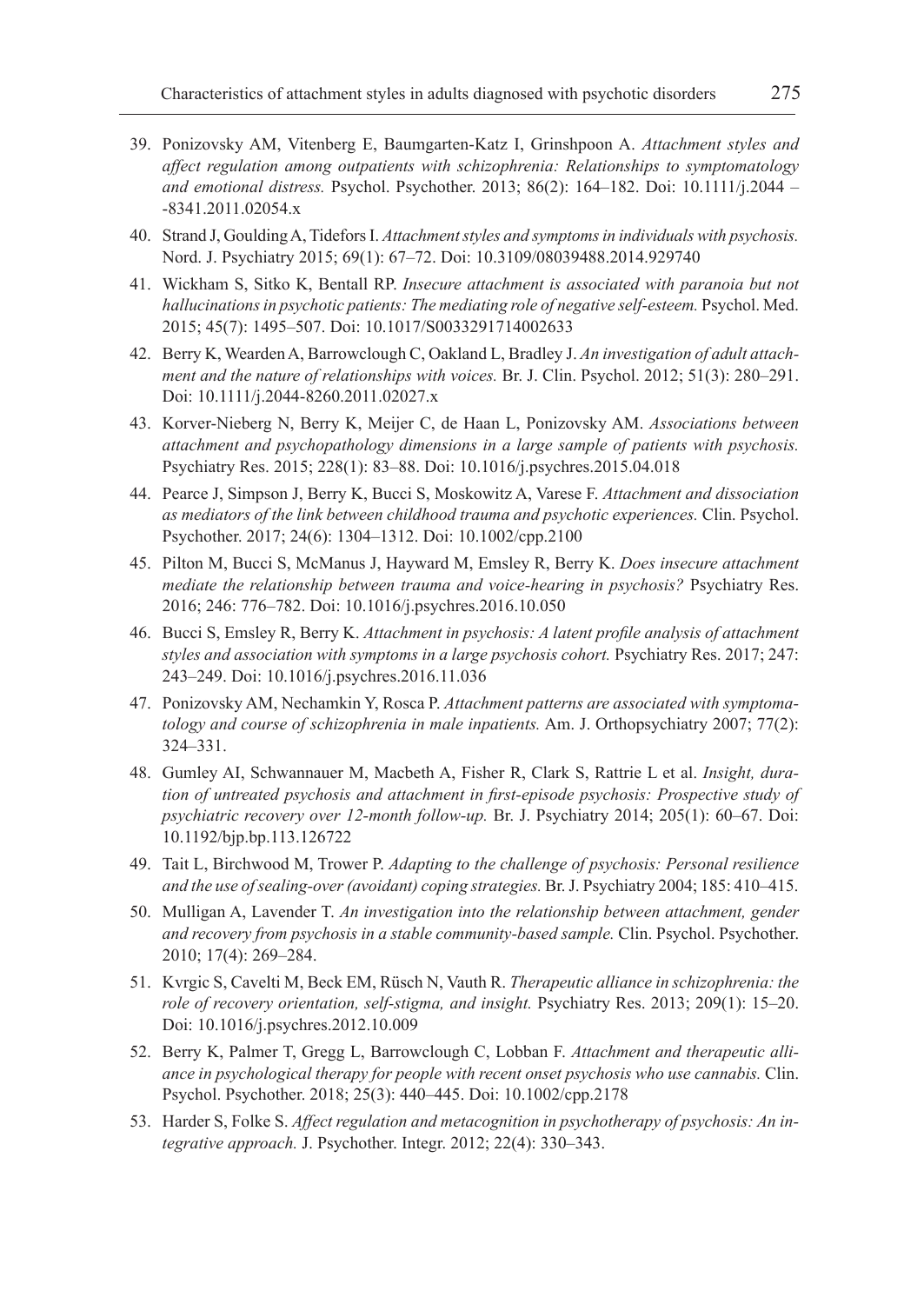- 39. Ponizovsky AM, Vitenberg E, Baumgarten-Katz I, Grinshpoon A. *Attachment styles and affect regulation among outpatients with schizophrenia: Relationships to symptomatology and emotional distress.* Psychol. Psychother. 2013; 86(2): 164–182. Doi: 10.1111/j.2044 – -8341.2011.02054.x
- 40. Strand J, Goulding A, Tidefors I. *Attachment styles and symptoms in individuals with psychosis.* Nord. J. Psychiatry 2015; 69(1): 67–72. Doi: 10.3109/08039488.2014.929740
- 41. Wickham S, Sitko K, Bentall RP. *Insecure attachment is associated with paranoia but not hallucinations in psychotic patients: The mediating role of negative self-esteem.* Psychol. Med. 2015; 45(7): 1495–507. Doi: 10.1017/S0033291714002633
- 42. Berry K, Wearden A, Barrowclough C, Oakland L, Bradley J. *An investigation of adult attachment and the nature of relationships with voices.* Br. J. Clin. Psychol. 2012; 51(3): 280–291. Doi: 10.1111/j.2044-8260.2011.02027.x
- 43. Korver-Nieberg N, Berry K, Meijer C, de Haan L, Ponizovsky AM. *Associations between attachment and psychopathology dimensions in a large sample of patients with psychosis.* Psychiatry Res. 2015; 228(1): 83–88. Doi: 10.1016/j.psychres.2015.04.018
- 44. Pearce J, Simpson J, Berry K, Bucci S, Moskowitz A, Varese F. *Attachment and dissociation as mediators of the link between childhood trauma and psychotic experiences.* Clin. Psychol. Psychother. 2017; 24(6): 1304–1312. Doi: 10.1002/cpp.2100
- 45. Pilton M, Bucci S, McManus J, Hayward M, Emsley R, Berry K. *Does insecure attachment mediate the relationship between trauma and voice-hearing in psychosis?* Psychiatry Res. 2016; 246: 776–782. Doi: 10.1016/j.psychres.2016.10.050
- 46. Bucci S, Emsley R, Berry K. *Attachment in psychosis: A latent profile analysis of attachment styles and association with symptoms in a large psychosis cohort.* Psychiatry Res. 2017; 247: 243–249. Doi: 10.1016/j.psychres.2016.11.036
- 47. Ponizovsky AM, Nechamkin Y, Rosca P. *Attachment patterns are associated with symptomatology and course of schizophrenia in male inpatients.* Am. J. Orthopsychiatry 2007; 77(2): 324–331.
- 48. Gumley AI, Schwannauer M, Macbeth A, Fisher R, Clark S, Rattrie L et al. *Insight, duration of untreated psychosis and attachment in first-episode psychosis: Prospective study of psychiatric recovery over 12-month follow-up.* Br. J. Psychiatry 2014; 205(1): 60–67. Doi: 10.1192/bjp.bp.113.126722
- 49. Tait L, Birchwood M, Trower P. *Adapting to the challenge of psychosis: Personal resilience and the use of sealing-over (avoidant) coping strategies.* Br. J. Psychiatry 2004; 185: 410–415.
- 50. Mulligan A, Lavender T. *An investigation into the relationship between attachment, gender and recovery from psychosis in a stable community-based sample.* Clin. Psychol. Psychother. 2010; 17(4): 269–284.
- 51. Kvrgic S, Cavelti M, Beck EM, Rüsch N, Vauth R. *Therapeutic alliance in schizophrenia: the role of recovery orientation, self-stigma, and insight.* Psychiatry Res. 2013; 209(1): 15–20. Doi: 10.1016/j.psychres.2012.10.009
- 52. Berry K, Palmer T, Gregg L, Barrowclough C, Lobban F. *Attachment and therapeutic alliance in psychological therapy for people with recent onset psychosis who use cannabis.* Clin. Psychol. Psychother. 2018; 25(3): 440–445. Doi: 10.1002/cpp.2178
- 53. Harder S, Folke S. *Affect regulation and metacognition in psychotherapy of psychosis: An integrative approach.* J. Psychother. Integr. 2012; 22(4): 330–343.